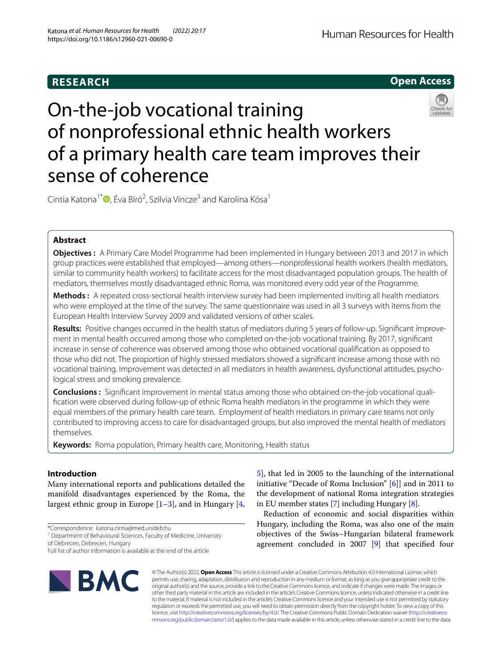# **RESEARCH**



# On-the-job vocational training of nonprofessional ethnic health workers of a primary health care team improves their sense of coherence

Cintia Katona<sup>1\*</sup>®[,](http://orcid.org/0000-0002-5977-4313) Éva Bíró<sup>2</sup>, Szilvia Vincze<sup>3</sup> and Karolina Kósa<sup>1</sup>

# **Abstract**

**Objectives :** A Primary Care Model Programme had been implemented in Hungary between 2013 and 2017 in which group practices were established that employed—among others—nonprofessional health workers (health mediators, similar to community health workers) to facilitate access for the most disadvantaged population groups. The health of mediators, themselves mostly disadvantaged ethnic Roma, was monitored every odd year of the Programme.

**Methods :** A repeated cross-sectional health interview survey had been implemented inviting all health mediators who were employed at the time of the survey. The same questionnaire was used in all 3 surveys with items from the European Health Interview Survey 2009 and validated versions of other scales.

**Results:** Positive changes occurred in the health status of mediators during 5 years of follow-up. Signifcant improvement in mental health occurred among those who completed on-the-job vocational training. By 2017, signifcant increase in sense of coherence was observed among those who obtained vocational qualifcation as opposed to those who did not. The proportion of highly stressed mediators showed a signifcant increase among those with no vocational training. Improvement was detected in all mediators in health awareness, dysfunctional attitudes, psychological stress and smoking prevalence.

**Conclusions :** Signifcant improvement in mental status among those who obtained on-the-job vocational qualifcation were observed during follow-up of ethnic Roma health mediators in the programme in which they were equal members of the primary health care team. Employment of health mediators in primary care teams not only contributed to improving access to care for disadvantaged groups, but also improved the mental health of mediators themselves.

**Keywords:** Roma population, Primary health care, Monitoring, Health status

# **Introduction**

Many international reports and publications detailed the manifold disadvantages experienced by the Roma, the largest ethnic group in Europe  $[1-3]$  $[1-3]$ , and in Hungary  $[4, 4]$  $[4, 4]$ 

\*Correspondence: katona.cintia@med.unideb.hu

<sup>1</sup> Department of Behavioural Sciences, Faculty of Medicine, University of Debrecen, Debrecen, Hungary

Full list of author information is available at the end of the article



[5\]](#page-8-3), that led in 2005 to the launching of the international initiative "Decade of Roma Inclusion" [\[6\]](#page-8-4)] and in 2011 to the development of national Roma integration strategies in EU member states [\[7](#page-8-5)] including Hungary [[8\]](#page-8-6).

Reduction of economic and social disparities within Hungary, including the Roma, was also one of the main objectives of the Swiss–Hungarian bilateral framework agreement concluded in 2007 [[9\]](#page-8-7) that specifed four

© The Author(s) 2022. **Open Access** This article is licensed under a Creative Commons Attribution 4.0 International License, which permits use, sharing, adaptation, distribution and reproduction in any medium or format, as long as you give appropriate credit to the original author(s) and the source, provide a link to the Creative Commons licence, and indicate if changes were made. The images or other third party material in this article are included in the article's Creative Commons licence, unless indicated otherwise in a credit line to the material. If material is not included in the article's Creative Commons licence and your intended use is not permitted by statutory regulation or exceeds the permitted use, you will need to obtain permission directly from the copyright holder. To view a copy of this licence, visit [http://creativecommons.org/licenses/by/4.0/.](http://creativecommons.org/licenses/by/4.0/) The Creative Commons Public Domain Dedication waiver ([http://creativeco](http://creativecommons.org/publicdomain/zero/1.0/) [mmons.org/publicdomain/zero/1.0/](http://creativecommons.org/publicdomain/zero/1.0/)) applies to the data made available in this article, unless otherwise stated in a credit line to the data.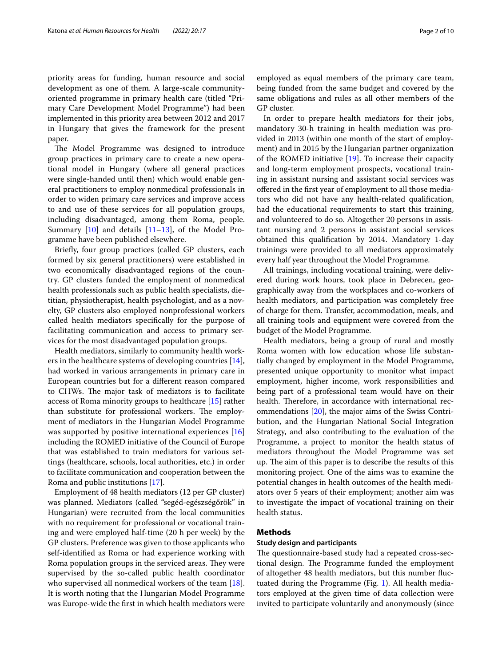priority areas for funding, human resource and social development as one of them. A large-scale communityoriented programme in primary health care (titled "Primary Care Development Model Programme") had been implemented in this priority area between 2012 and 2017 in Hungary that gives the framework for the present paper.

The Model Programme was designed to introduce group practices in primary care to create a new operational model in Hungary (where all general practices were single-handed until then) which would enable general practitioners to employ nonmedical professionals in order to widen primary care services and improve access to and use of these services for all population groups, including disadvantaged, among them Roma, people. Summary [\[10](#page-8-8)] and details [[11–](#page-8-9)[13](#page-8-10)], of the Model Programme have been published elsewhere.

Briefy, four group practices (called GP clusters, each formed by six general practitioners) were established in two economically disadvantaged regions of the country. GP clusters funded the employment of nonmedical health professionals such as public health specialists, dietitian, physiotherapist, health psychologist, and as a novelty, GP clusters also employed nonprofessional workers called health mediators specifcally for the purpose of facilitating communication and access to primary services for the most disadvantaged population groups.

Health mediators, similarly to community health workers in the healthcare systems of developing countries [\[14](#page-8-11)], had worked in various arrangements in primary care in European countries but for a diferent reason compared to CHWs. The major task of mediators is to facilitate access of Roma minority groups to healthcare [\[15\]](#page-8-12) rather than substitute for professional workers. The employment of mediators in the Hungarian Model Programme was supported by positive international experiences [[16](#page-8-13)] including the ROMED initiative of the Council of Europe that was established to train mediators for various settings (healthcare, schools, local authorities, etc.) in order to facilitate communication and cooperation between the Roma and public institutions [\[17\]](#page-8-14).

Employment of 48 health mediators (12 per GP cluster) was planned. Mediators (called "segéd-egészségőrök" in Hungarian) were recruited from the local communities with no requirement for professional or vocational training and were employed half-time (20 h per week) by the GP clusters. Preference was given to those applicants who self-identifed as Roma or had experience working with Roma population groups in the serviced areas. They were supervised by the so-called public health coordinator who supervised all nonmedical workers of the team [\[18](#page-8-15)]. It is worth noting that the Hungarian Model Programme was Europe-wide the frst in which health mediators were

employed as equal members of the primary care team, being funded from the same budget and covered by the same obligations and rules as all other members of the GP cluster.

In order to prepare health mediators for their jobs, mandatory 30-h training in health mediation was provided in 2013 (within one month of the start of employment) and in 2015 by the Hungarian partner organization of the ROMED initiative [\[19](#page-8-16)]. To increase their capacity and long-term employment prospects, vocational training in assistant nursing and assistant social services was ofered in the frst year of employment to all those mediators who did not have any health-related qualifcation, had the educational requirements to start this training, and volunteered to do so. Altogether 20 persons in assistant nursing and 2 persons in assistant social services obtained this qualifcation by 2014. Mandatory 1-day trainings were provided to all mediators approximately every half year throughout the Model Programme.

All trainings, including vocational training, were delivered during work hours, took place in Debrecen, geographically away from the workplaces and co-workers of health mediators, and participation was completely free of charge for them. Transfer, accommodation, meals, and all training tools and equipment were covered from the budget of the Model Programme.

Health mediators, being a group of rural and mostly Roma women with low education whose life substantially changed by employment in the Model Programme, presented unique opportunity to monitor what impact employment, higher income, work responsibilities and being part of a professional team would have on their health. Therefore, in accordance with international recommendations [\[20](#page-8-17)], the major aims of the Swiss Contribution, and the Hungarian National Social Integration Strategy, and also contributing to the evaluation of the Programme, a project to monitor the health status of mediators throughout the Model Programme was set up. The aim of this paper is to describe the results of this monitoring project. One of the aims was to examine the potential changes in health outcomes of the health mediators over 5 years of their employment; another aim was to investigate the impact of vocational training on their health status.

# <span id="page-1-0"></span>**Methods**

#### **Study design and participants**

The questionnaire-based study had a repeated cross-sectional design. The Programme funded the employment of altogether 48 health mediators, but this number fuctuated during the Programme (Fig. [1\)](#page-2-0). All health mediators employed at the given time of data collection were invited to participate voluntarily and anonymously (since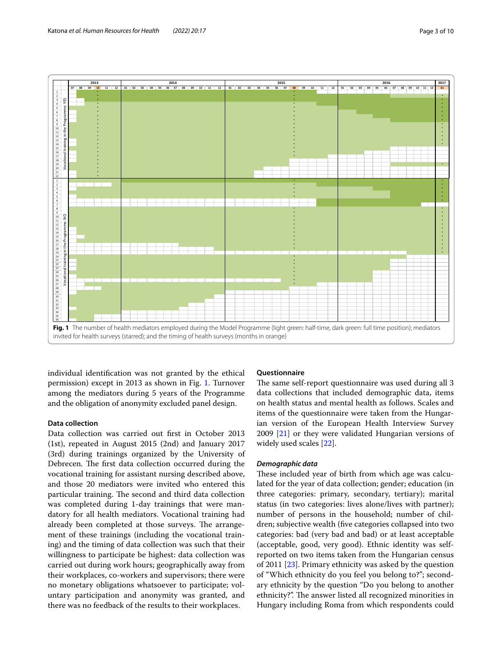

<span id="page-2-0"></span>individual identifcation was not granted by the ethical permission) except in 2013 as shown in Fig. [1](#page-2-0). Turnover among the mediators during 5 years of the Programme and the obligation of anonymity excluded panel design.

## **Data collection**

Data collection was carried out frst in October 2013 (1st), repeated in August 2015 (2nd) and January 2017 (3rd) during trainings organized by the University of Debrecen. The first data collection occurred during the vocational training for assistant nursing described above, and those 20 mediators were invited who entered this particular training. The second and third data collection was completed during 1-day trainings that were mandatory for all health mediators. Vocational training had already been completed at those surveys. The arrangement of these trainings (including the vocational training) and the timing of data collection was such that their willingness to participate be highest: data collection was carried out during work hours; geographically away from their workplaces, co-workers and supervisors; there were no monetary obligations whatsoever to participate; voluntary participation and anonymity was granted, and there was no feedback of the results to their workplaces.

## **Questionnaire**

The same self-report questionnaire was used during all 3 data collections that included demographic data, items on health status and mental health as follows. Scales and items of the questionnaire were taken from the Hungarian version of the European Health Interview Survey 2009 [\[21](#page-8-18)] or they were validated Hungarian versions of widely used scales [\[22\]](#page-9-0).

## *Demographic data*

These included year of birth from which age was calculated for the year of data collection; gender; education (in three categories: primary, secondary, tertiary); marital status (in two categories: lives alone/lives with partner); number of persons in the household; number of children; subjective wealth (fve categories collapsed into two categories: bad (very bad and bad) or at least acceptable (acceptable, good, very good). Ethnic identity was selfreported on two items taken from the Hungarian census of 2011 [[23](#page-9-1)]. Primary ethnicity was asked by the question of "Which ethnicity do you feel you belong to?"; secondary ethnicity by the question "Do you belong to another ethnicity?". The answer listed all recognized minorities in Hungary including Roma from which respondents could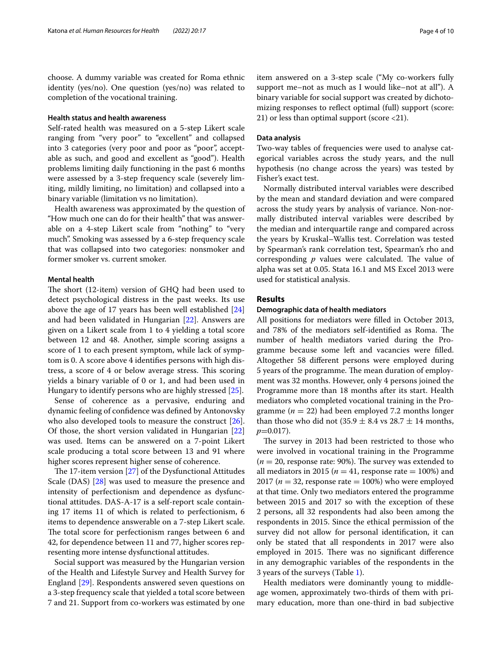choose. A dummy variable was created for Roma ethnic identity (yes/no). One question (yes/no) was related to completion of the vocational training.

## **Health status and health awareness**

Self-rated health was measured on a 5-step Likert scale ranging from "very poor" to "excellent" and collapsed into 3 categories (very poor and poor as "poor", acceptable as such, and good and excellent as "good"). Health problems limiting daily functioning in the past 6 months were assessed by a 3-step frequency scale (severely limiting, mildly limiting, no limitation) and collapsed into a binary variable (limitation vs no limitation).

Health awareness was approximated by the question of "How much one can do for their health" that was answerable on a 4-step Likert scale from "nothing" to "very much". Smoking was assessed by a 6-step frequency scale that was collapsed into two categories: nonsmoker and former smoker vs. current smoker.

# **Mental health**

The short (12-item) version of GHQ had been used to detect psychological distress in the past weeks. Its use above the age of 17 years has been well established [[24](#page-9-2)] and had been validated in Hungarian [\[22](#page-9-0)]. Answers are given on a Likert scale from 1 to 4 yielding a total score between 12 and 48. Another, simple scoring assigns a score of 1 to each present symptom, while lack of symptom is 0. A score above 4 identifes persons with high distress, a score of 4 or below average stress. This scoring yields a binary variable of 0 or 1, and had been used in Hungary to identify persons who are highly stressed [[25\]](#page-9-3).

Sense of coherence as a pervasive, enduring and dynamic feeling of confdence was defned by Antonovsky who also developed tools to measure the construct [\[26](#page-9-4)]. Of those, the short version validated in Hungarian [[22](#page-9-0)] was used. Items can be answered on a 7-point Likert scale producing a total score between 13 and 91 where higher scores represent higher sense of coherence.

The 17-item version  $[27]$  $[27]$  of the Dysfunctional Attitudes Scale (DAS) [\[28\]](#page-9-6) was used to measure the presence and intensity of perfectionism and dependence as dysfunctional attitudes. DAS-A-17 is a self-report scale containing 17 items 11 of which is related to perfectionism, 6 items to dependence answerable on a 7-step Likert scale. The total score for perfectionism ranges between 6 and 42, for dependence between 11 and 77, higher scores representing more intense dysfunctional attitudes.

Social support was measured by the Hungarian version of the Health and Lifestyle Survey and Health Survey for England [\[29](#page-9-7)]. Respondents answered seven questions on a 3-step frequency scale that yielded a total score between 7 and 21. Support from co-workers was estimated by one item answered on a 3-step scale ("My co-workers fully support me–not as much as I would like–not at all"). A binary variable for social support was created by dichotomizing responses to refect optimal (full) support (score: 21) or less than optimal support (score <21).

#### **Data analysis**

Two-way tables of frequencies were used to analyse categorical variables across the study years, and the null hypothesis (no change across the years) was tested by Fisher's exact test.

Normally distributed interval variables were described by the mean and standard deviation and were compared across the study years by analysis of variance. Non-normally distributed interval variables were described by the median and interquartile range and compared across the years by Kruskal–Wallis test. Correlation was tested by Spearman's rank correlation test, Spearman's rho and corresponding  $p$  values were calculated. The value of alpha was set at 0.05. Stata 16.1 and MS Excel 2013 were used for statistical analysis.

#### **Results**

#### **Demographic data of health mediators**

All positions for mediators were flled in October 2013, and 78% of the mediators self-identified as Roma. The number of health mediators varied during the Programme because some left and vacancies were flled. Altogether 58 diferent persons were employed during 5 years of the programme. The mean duration of employment was 32 months. However, only 4 persons joined the Programme more than 18 months after its start. Health mediators who completed vocational training in the Programme ( $n = 22$ ) had been employed 7.2 months longer than those who did not  $(35.9 \pm 8.4 \text{ vs } 28.7 \pm 14 \text{ months},$ *p*=0.017).

The survey in 2013 had been restricted to those who were involved in vocational training in the Programme  $(n = 20,$  response rate: 90%). The survey was extended to all mediators in 2015 ( $n = 41$ , response rate  $= 100\%$ ) and 2017 ( $n = 32$ , response rate  $= 100\%$ ) who were employed at that time. Only two mediators entered the programme between 2015 and 2017 so with the exception of these 2 persons, all 32 respondents had also been among the respondents in 2015. Since the ethical permission of the survey did not allow for personal identifcation, it can only be stated that all respondents in 2017 were also employed in 2015. There was no significant difference in any demographic variables of the respondents in the 3 years of the surveys (Table [1\)](#page-4-0).

Health mediators were dominantly young to middleage women, approximately two-thirds of them with primary education, more than one-third in bad subjective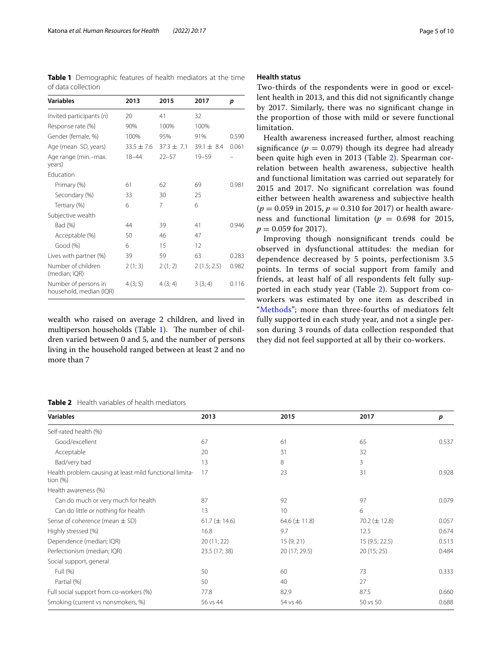<span id="page-4-0"></span>**Table 1** Demographic features of health mediators at the time of data collection

| <b>Variables</b>                                | 2013           | 2015         | 2017         | p     |
|-------------------------------------------------|----------------|--------------|--------------|-------|
| Invited participants $(n)$                      | 20             | 41           | 32           |       |
| Response rate (%)                               | 90%            | 100%         | 100%         |       |
| Gender (female, %)                              | 100%           | 95%          | 91%          | 0.590 |
| Age (mean SD, years)                            | $33.5 \pm 7.6$ | $37.3 + 7.1$ | $39.1 + 8.4$ | 0.061 |
| Age range (min.-max.<br>years)                  | $18 - 44$      | $22 - 57$    | $19 - 59$    |       |
| <b>Education</b>                                |                |              |              |       |
| Primary (%)                                     | 61             | 62           | 69           | 0.981 |
| Secondary (%)                                   | 33             | 30           | 25           |       |
| Tertiary (%)                                    | 6              | 7            | 6            |       |
| Subjective wealth                               |                |              |              |       |
| Bad (%)                                         | 44             | 39           | 41           | 0.946 |
| Acceptable (%)                                  | 50             | 46           | 47           |       |
| Good (%)                                        | 6              | 15           | 12           |       |
| Lives with partner (%)                          | 39             | 59           | 63           | 0.283 |
| Number of children<br>(median; IQR)             | 2(1; 3)        | 2(1; 2)      | 2(1.5; 2.5)  | 0.982 |
| Number of persons in<br>household, median (IQR) | 4(3; 5)        | 4(3; 4)      | 3(3; 4)      | 0.116 |

wealth who raised on average 2 children, and lived in multiperson households (Table [1\)](#page-4-0). The number of children varied between 0 and 5, and the number of persons living in the household ranged between at least 2 and no more than 7

## <span id="page-4-1"></span>**Table 2** Health variables of health mediators

#### **Health status**

Two-thirds of the respondents were in good or excellent health in 2013, and this did not signifcantly change by 2017. Similarly, there was no signifcant change in the proportion of those with mild or severe functional limitation.

Health awareness increased further, almost reaching significance ( $p = 0.079$ ) though its degree had already been quite high even in 2013 (Table [2](#page-4-1)). Spearman correlation between health awareness, subjective health and functional limitation was carried out separately for 2015 and 2017. No signifcant correlation was found either between health awareness and subjective health (*p* = 0.059 in 2015, *p* = 0.310 for 2017) or health awareness and functional limitation ( $p = 0.698$  for 2015,  $p = 0.059$  for 2017).

Improving though nonsignifcant trends could be observed in dysfunctional attitudes: the median for dependence decreased by 5 points, perfectionism 3.5 points. In terms of social support from family and friends, at least half of all respondents felt fully supported in each study year (Table [2](#page-4-1)). Support from coworkers was estimated by one item as described in "[Methods](#page-1-0)"; more than three-fourths of mediators felt fully supported in each study year, and not a single person during 3 rounds of data collection responded that they did not feel supported at all by their co-workers.

| <b>Variables</b>                                                       | 2013              | 2015              | 2017              | p     |
|------------------------------------------------------------------------|-------------------|-------------------|-------------------|-------|
| Self-rated health (%)                                                  |                   |                   |                   |       |
| Good/excellent                                                         | 67                | 61                | 65                | 0.537 |
| Acceptable                                                             | 20                | 31                | 32                |       |
| Bad/very bad                                                           | 13                | 8                 | 3                 |       |
| Health problem causing at least mild functional limita-<br>tion $(\%)$ | 17                | 23                | 31                | 0.928 |
| Health awareness (%)                                                   |                   |                   |                   |       |
| Can do much or very much for health                                    | 87                | 92                | 97                | 0.079 |
| Can do little or nothing for health                                    | 13                | 10                | 6                 |       |
| Sense of coherence (mean $\pm$ SD)                                     | 61.7 $(\pm$ 14.6) | 64.6 $(\pm 11.8)$ | 70.2 $(\pm 12.8)$ | 0.057 |
| Highly stressed (%)                                                    | 16.8              | 9.7               | 12.5              | 0.674 |
| Dependence (median; IQR)                                               | 20 (11; 22)       | 15(9; 21)         | 15 (9.5; 22.5)    | 0.513 |
| Perfectionism (median; IQR)                                            | 23.5 (17; 38)     | 20 (17; 29.5)     | 20 (15; 25)       | 0.484 |
| Social support, general                                                |                   |                   |                   |       |
| Full (%)                                                               | 50                | 60                | 73                | 0.333 |
| Partial (%)                                                            | 50                | 40                | 27                |       |
| Full social support from co-workers (%)                                | 77.8              | 82.9              | 87.5              | 0.660 |
| Smoking (current vs nonsmokers, %)                                     | 56 vs 44          | 54 vs 46          | 50 vs 50          | 0.688 |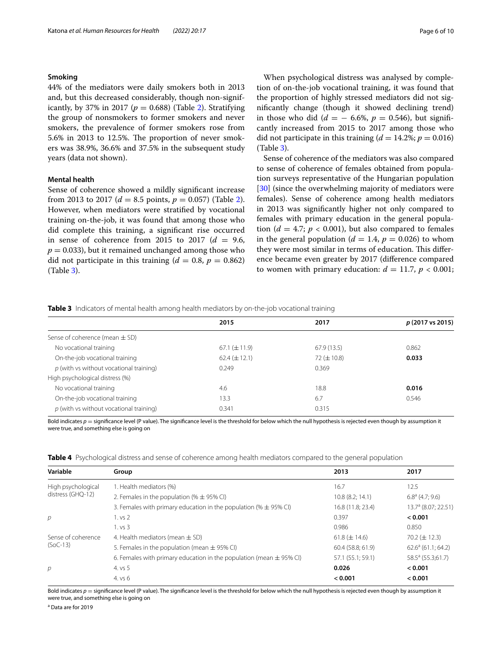#### **Smoking**

44% of the mediators were daily smokers both in 2013 and, but this decreased considerably, though non-signif-icantly, by 37% in [2](#page-4-1)017 ( $p = 0.688$ ) (Table 2). Stratifying the group of nonsmokers to former smokers and never smokers, the prevalence of former smokers rose from  $5.6\%$  in 2013 to 12.5%. The proportion of never smokers was 38.9%, 36.6% and 37.5% in the subsequent study years (data not shown).

## **Mental health**

Sense of coherence showed a mildly signifcant increase from [2](#page-4-1)013 to 2017 ( $d = 8.5$  points,  $p = 0.057$ ) (Table 2). However, when mediators were stratifed by vocational training on-the-job, it was found that among those who did complete this training, a signifcant rise occurred in sense of coherence from 2015 to 2017  $(d = 9.6,$  $p = 0.033$ , but it remained unchanged among those who did not participate in this training  $(d = 0.8, p = 0.862)$ (Table [3](#page-5-0)).

When psychological distress was analysed by completion of on-the-job vocational training, it was found that the proportion of highly stressed mediators did not signifcantly change (though it showed declining trend) in those who did ( $d = -6.6\%$ ,  $p = 0.546$ ), but significantly increased from 2015 to 2017 among those who did not participate in this training  $(d = 14.2\%; p = 0.016)$ (Table [3\)](#page-5-0).

Sense of coherence of the mediators was also compared to sense of coherence of females obtained from population surveys representative of the Hungarian population [[30\]](#page-9-8) (since the overwhelming majority of mediators were females). Sense of coherence among health mediators in 2013 was signifcantly higher not only compared to females with primary education in the general population ( $d = 4.7$ ;  $p < 0.001$ ), but also compared to females in the general population ( $d = 1.4$ ,  $p = 0.026$ ) to whom they were most similar in terms of education. This difference became even greater by 2017 (diference compared to women with primary education:  $d = 11.7$ ,  $p < 0.001$ ;

<span id="page-5-0"></span>

|  |  |  |  | Table 3 Indicators of mental health among health mediators by on-the-job vocational training |  |
|--|--|--|--|----------------------------------------------------------------------------------------------|--|
|  |  |  |  |                                                                                              |  |

|                                           | 2015              | 2017            | p (2017 vs 2015) |
|-------------------------------------------|-------------------|-----------------|------------------|
| Sense of coherence (mean $\pm$ SD)        |                   |                 |                  |
| No vocational training                    | $67.1 (\pm 11.9)$ | 67.9(13.5)      | 0.862            |
| On-the-job vocational training            | $62.4 (\pm 12.1)$ | $72 (\pm 10.8)$ | 0.033            |
| $p$ (with vs without vocational training) | 0.249             | 0.369           |                  |
| High psychological distress (%)           |                   |                 |                  |
| No vocational training                    | 4.6               | 18.8            | 0.016            |
| On-the-job vocational training            | 13.3              | 6.7             | 0.546            |
| $p$ (with vs without vocational training) | 0.341             | 0.315           |                  |

Bold indicates  $p =$  significance level (P value). The significance level is the threshold for below which the null hypothesis is rejected even though by assumption it were true, and something else is going on

<span id="page-5-1"></span>

|  | <b>Table 4</b> Psychological distress and sense of coherence among health mediators compared to the general population |  |  |
|--|------------------------------------------------------------------------------------------------------------------------|--|--|
|  |                                                                                                                        |  |  |

| Variable                         | Group                                                                   | 2013              | 2017                          |
|----------------------------------|-------------------------------------------------------------------------|-------------------|-------------------------------|
| High psychological               | 1. Health mediators (%)                                                 | 16.7              | 12.5                          |
| distress (GHQ-12)                | 2. Females in the population (% $\pm$ 95% CI)                           | 10.8(8.2; 14.1)   | $6.8^{\circ}$ (4.7; 9.6)      |
|                                  | 3. Females with primary education in the population (% $\pm$ 95% CI)    | 16.8 (11.8; 23.4) | $13.7a$ (8.07: 22.51)         |
| р                                | 1. vs 2                                                                 | 0.397             | < 0.001                       |
|                                  | 1. vs 3                                                                 | 0.986             | 0.850                         |
| Sense of coherence<br>$(SoC-13)$ | 4. Health mediators (mean $\pm$ SD)                                     | $61.8 (\pm 14.6)$ | $70.2 \ (\pm 12.3)$           |
|                                  | 5. Females in the population (mean $\pm$ 95% CI)                        | 60.4(58.8; 61.9)  | $62.6^a$ (61.1; 64.2)         |
|                                  | 6. Females with primary education in the population (mean $\pm$ 95% CI) | 57.1 (55.1; 59.1) | 58.5 <sup>a</sup> (55.3;61.7) |
| р                                | 4. vs 5                                                                 | 0.026             | < 0.001                       |
|                                  | 4. vs 6                                                                 | < 0.001           | < 0.001                       |

Bold indicates  $p =$  significance level (P value). The significance level is the threshold for below which the null hypothesis is rejected even though by assumption it were true, and something else is going on

<sup>a</sup> Data are for 2019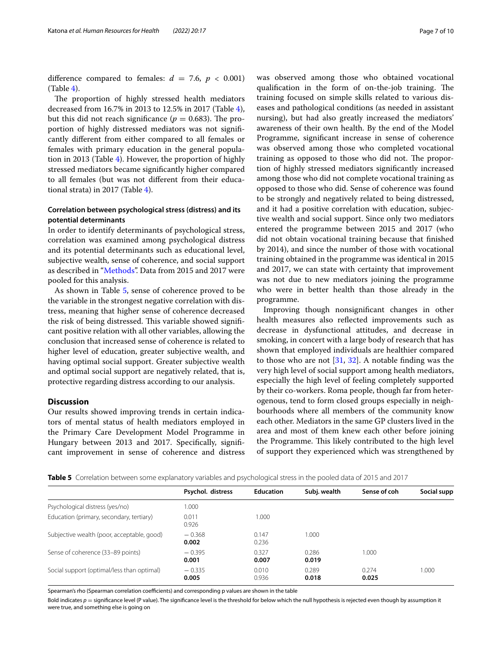difference compared to females:  $d = 7.6$ ,  $p < 0.001$ )  $(Table 4)$  $(Table 4)$  $(Table 4)$ .

The proportion of highly stressed health mediators decreased from 16.7% in 2013 to 12.5% in 2017 (Table [4](#page-5-1)), but this did not reach significance ( $p = 0.683$ ). The proportion of highly distressed mediators was not signifcantly diferent from either compared to all females or females with primary education in the general population in 2013 (Table [4](#page-5-1)). However, the proportion of highly stressed mediators became signifcantly higher compared to all females (but was not diferent from their educational strata) in 2017 (Table [4](#page-5-1)).

# **Correlation between psychological stress (distress) and its potential determinants**

In order to identify determinants of psychological stress, correlation was examined among psychological distress and its potential determinants such as educational level, subjective wealth, sense of coherence, and social support as described in ["Methods"](#page-1-0). Data from 2015 and 2017 were pooled for this analysis.

As shown in Table [5](#page-6-0), sense of coherence proved to be the variable in the strongest negative correlation with distress, meaning that higher sense of coherence decreased the risk of being distressed. This variable showed significant positive relation with all other variables, allowing the conclusion that increased sense of coherence is related to higher level of education, greater subjective wealth, and having optimal social support. Greater subjective wealth and optimal social support are negatively related, that is, protective regarding distress according to our analysis.

#### **Discussion**

Our results showed improving trends in certain indicators of mental status of health mediators employed in the Primary Care Development Model Programme in Hungary between 2013 and 2017. Specifically, significant improvement in sense of coherence and distress

qualification in the form of on-the-job training. The training focused on simple skills related to various diseases and pathological conditions (as needed in assistant nursing), but had also greatly increased the mediators' awareness of their own health. By the end of the Model Programme, signifcant increase in sense of coherence was observed among those who completed vocational training as opposed to those who did not. The proportion of highly stressed mediators signifcantly increased among those who did not complete vocational training as opposed to those who did. Sense of coherence was found to be strongly and negatively related to being distressed, and it had a positive correlation with education, subjective wealth and social support. Since only two mediators entered the programme between 2015 and 2017 (who did not obtain vocational training because that fnished by 2014), and since the number of those with vocational training obtained in the programme was identical in 2015 and 2017, we can state with certainty that improvement was not due to new mediators joining the programme who were in better health than those already in the programme.

Improving though nonsignifcant changes in other health measures also refected improvements such as decrease in dysfunctional attitudes, and decrease in smoking, in concert with a large body of research that has shown that employed individuals are healthier compared to those who are not [[31,](#page-9-9) [32\]](#page-9-10). A notable fnding was the very high level of social support among health mediators, especially the high level of feeling completely supported by their co-workers. Roma people, though far from heterogenous, tend to form closed groups especially in neighbourhoods where all members of the community know each other. Mediators in the same GP clusters lived in the area and most of them knew each other before joining the Programme. This likely contributed to the high level of support they experienced which was strengthened by

<span id="page-6-0"></span>

|  | <b>Table 5</b> Correlation between some explanatory variables and psychological stress in the pooled data of 2015 and 2017 |  |  |  |  |
|--|----------------------------------------------------------------------------------------------------------------------------|--|--|--|--|
|--|----------------------------------------------------------------------------------------------------------------------------|--|--|--|--|

|                                            | Psychol. distress | <b>Education</b> | Subj. wealth   | Sense of coh   | Social supp |
|--------------------------------------------|-------------------|------------------|----------------|----------------|-------------|
| Psychological distress (yes/no)            | 1.000             |                  |                |                |             |
| Education (primary, secondary, tertiary)   | 0.011<br>0.926    | 000.1            |                |                |             |
| Subjective wealth (poor, acceptable, good) | $-0.368$<br>0.002 | 0.147<br>0.236   | 1.000          |                |             |
| Sense of coherence (33-89 points)          | $-0.395$<br>0.001 | 0.327<br>0.007   | 0.286<br>0.019 | 1.000          |             |
| Social support (optimal/less than optimal) | $-0.335$<br>0.005 | 0.010<br>0.936   | 0.289<br>0.018 | 0.274<br>0.025 | 1.000       |

Spearman's rho (Spearman correlation coefficients) and corresponding p values are shown in the table

Bold indicates  $p =$  significance level (P value). The significance level is the threshold for below which the null hypothesis is rejected even though by assumption it were true, and something else is going on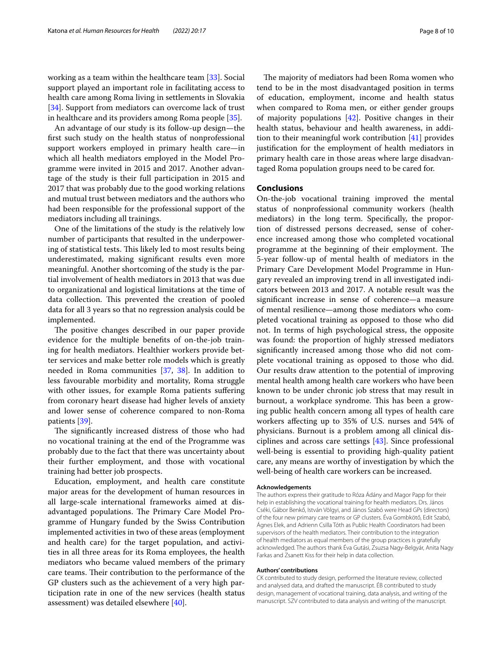working as a team within the healthcare team [\[33](#page-9-11)]. Social support played an important role in facilitating access to health care among Roma living in settlements in Slovakia [[34\]](#page-9-12). Support from mediators can overcome lack of trust in healthcare and its providers among Roma people [\[35\]](#page-9-13).

An advantage of our study is its follow-up design—the frst such study on the health status of nonprofessional support workers employed in primary health care—in which all health mediators employed in the Model Programme were invited in 2015 and 2017. Another advantage of the study is their full participation in 2015 and 2017 that was probably due to the good working relations and mutual trust between mediators and the authors who had been responsible for the professional support of the mediators including all trainings.

One of the limitations of the study is the relatively low number of participants that resulted in the underpowering of statistical tests. This likely led to most results being underestimated, making signifcant results even more meaningful. Another shortcoming of the study is the partial involvement of health mediators in 2013 that was due to organizational and logistical limitations at the time of data collection. This prevented the creation of pooled data for all 3 years so that no regression analysis could be implemented.

The positive changes described in our paper provide evidence for the multiple benefts of on-the-job training for health mediators. Healthier workers provide better services and make better role models which is greatly needed in Roma communities [[37](#page-9-14), [38](#page-9-15)]. In addition to less favourable morbidity and mortality, Roma struggle with other issues, for example Roma patients suffering from coronary heart disease had higher levels of anxiety and lower sense of coherence compared to non-Roma patients [[39\]](#page-9-16).

The significantly increased distress of those who had no vocational training at the end of the Programme was probably due to the fact that there was uncertainty about their further employment, and those with vocational training had better job prospects.

Education, employment, and health care constitute major areas for the development of human resources in all large-scale international frameworks aimed at disadvantaged populations. The Primary Care Model Programme of Hungary funded by the Swiss Contribution implemented activities in two of these areas (employment and health care) for the target population, and activities in all three areas for its Roma employees, the health mediators who became valued members of the primary care teams. Their contribution to the performance of the GP clusters such as the achievement of a very high participation rate in one of the new services (health status assessment) was detailed elsewhere [\[40](#page-9-17)].

The majority of mediators had been Roma women who tend to be in the most disadvantaged position in terms of education, employment, income and health status when compared to Roma men, or either gender groups of majority populations [[42\]](#page-9-18). Positive changes in their health status, behaviour and health awareness, in addition to their meaningful work contribution [[41\]](#page-9-19) provides justifcation for the employment of health mediators in primary health care in those areas where large disadvantaged Roma population groups need to be cared for.

# **Conclusions**

On-the-job vocational training improved the mental status of nonprofessional community workers (health mediators) in the long term. Specifcally, the proportion of distressed persons decreased, sense of coherence increased among those who completed vocational programme at the beginning of their employment. The 5-year follow-up of mental health of mediators in the Primary Care Development Model Programme in Hungary revealed an improving trend in all investigated indicators between 2013 and 2017. A notable result was the signifcant increase in sense of coherence—a measure of mental resilience—among those mediators who completed vocational training as opposed to those who did not. In terms of high psychological stress, the opposite was found: the proportion of highly stressed mediators signifcantly increased among those who did not complete vocational training as opposed to those who did. Our results draw attention to the potential of improving mental health among health care workers who have been known to be under chronic job stress that may result in burnout, a workplace syndrome. This has been a growing public health concern among all types of health care workers afecting up to 35% of U.S. nurses and 54% of physicians. Burnout is a problem among all clinical disciplines and across care settings [\[43](#page-9-20)]. Since professional well-being is essential to providing high-quality patient care, any means are worthy of investigation by which the well-being of health care workers can be increased.

#### **Acknowledgements**

The authors express their gratitude to Róza Ádány and Magor Papp for their help in establishing the vocational training for health mediators. Drs. János Cséki, Gábor Benkő, István Völgyi, and János Szabó were Head GPs (directors) of the four new primary care teams or GP clusters. Éva Gombkötő, Edit Szabó, Ágnes Elek, and Adrienn Csilla Tóth as Public Health Coordinators had been supervisors of the health mediators. Their contribution to the integration of health mediators as equal members of the group practices is gratefully acknowledged. The authors thank Éva Gutási, Zsuzsa Nagy-Belgyár, Anita Nagy Farkas and Zsanett Kiss for their help in data collection.

#### **Authors' contributions**

CK contributed to study design, performed the literature review, collected and analysed data, and drafted the manuscript. ÉB contributed to study design, management of vocational training, data analysis, and writing of the manuscript. SZV contributed to data analysis and writing of the manuscript.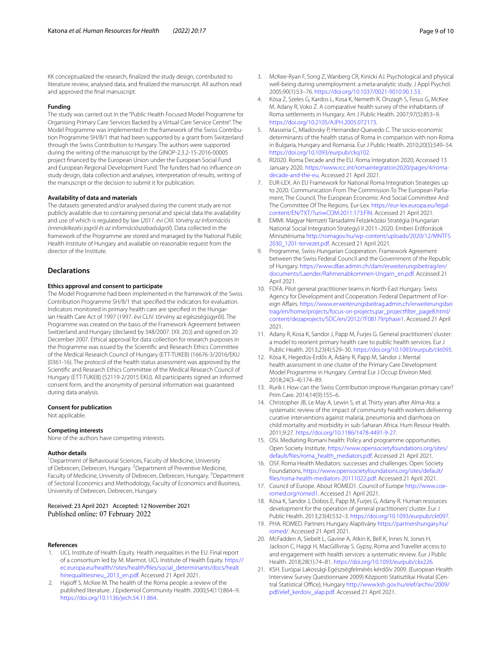KK conceptualized the research, fnalized the study design, contributed to literature review, analysed data, and fnalized the manuscript. All authors read and approved the fnal manuscript.

#### **Funding**

The study was carried out in the "Public Health Focused Model Programme for Organising Primary Care Services Backed by a Virtual Care Service Centre". The Model Programme was implemented in the framework of the Swiss Contribution Programme SH/8/1 that had been supported by a grant from Switzerland through the Swiss Contribution to Hungary. The authors were supported during the writing of the manuscript by the GINOP-2.3.2-15-2016-00005 project fnanced by the European Union under the European Social Fund and European Regional Development Fund. The funders had no infuence on study design, data collection and analyses, interpretation of results, writing of the manuscript or the decision to submit it for publication.

#### **Availability of data and materials**

The datasets generated and/or analysed during the current study are not publicly available due to containing personal and special data the availability and use of which is regulated by law (*2011. évi CXII. törvény az információs önrendelkezési jogról és az információszabadságról*). Data collected in the framework of the Programme are stored and managed by the National Public Health Institute of Hungary and available on reasonable request from the director of the Institute.

#### **Declarations**

#### **Ethics approval and consent to participate**

The Model Programme had been implemented in the framework of the Swiss Contribution Programme SH/8/1 that specifed the indicators for evaluation. Indicators monitored in primary health care are specifed in the Hungarian Health Care Act of 1997 (1997. évi CLIV. törvény az egészségügyről). The Programme was created on the basis of the Framework Agreement between Switzerland and Hungary (declared by 348/2007. (XII. 20.)) and signed on 20 December 2007. Ethical approval for data collection for research purposes in the Programme was issued by the Scientifc and Research Ethics Committee of the Medical Research Council of Hungary (ETT-TUKEB) (16676-3/2016/EKU (0361-16). The protocol of the health status assessment was approved by the Scientifc and Research Ethics Committee of the Medical Research Council of Hungary (ETT-TUKEB) (52119-2/2015 EKU). All participants signed an informed consent form, and the anonymity of personal information was guaranteed during data analysis.

#### **Consent for publication**

Not applicable.

#### **Competing interests**

None of the authors have competing interests.

#### **Author details**

<sup>1</sup> Department of Behavioural Sciences, Faculty of Medicine, University of Debrecen, Debrecen, Hungary. <sup>2</sup> Department of Preventive Medicine, Faculty of Medicine, University of Debrecen, Debrecen, Hungary. <sup>3</sup> Department of Sectoral Economics and Methodology, Faculty of Economics and Business, University of Debrecen, Debrecen, Hungary.

#### Received: 23 April 2021 Accepted: 12 November 2021 Published online: 07 February 2022

#### **References**

- <span id="page-8-0"></span>1. UCL Institute of Health Equity. Health inequalities in the EU. Final report of a consortium led by M. Marmot. UCL Institute of Health Equity. [https://](https://ec.europa.eu/health//sites/health/files/social_determinants/docs/healthinequalitiesineu_2013_en.pdf) [ec.europa.eu/health//sites/health/fles/social\\_determinants/docs/healt](https://ec.europa.eu/health//sites/health/files/social_determinants/docs/healthinequalitiesineu_2013_en.pdf) [hinequalitiesineu\\_2013\\_en.pdf](https://ec.europa.eu/health//sites/health/files/social_determinants/docs/healthinequalitiesineu_2013_en.pdf). Accessed 21 April 2021.
- 2. Hajioff S, McKee M. The health of the Roma people: a review of the published literature. J Epidemiol Community Health. 2000;54(11):864–9. [https://doi.org/10.1136/jech.54.11.864.](https://doi.org/10.1136/jech.54.11.864)
- <span id="page-8-1"></span>3. McKee-Ryan F, Song Z, Wanberg CR, Kinicki AJ. Psychological and physical well-being during unemployment: a meta-analytic study. J Appl Psychol. 2005;90(1):53–76. [https://doi.org/10.1037/0021-9010.90.1.53.](https://doi.org/10.1037/0021-9010.90.1.53)
- <span id="page-8-2"></span>4. Kósa Z, Szeles G, Kardos L, Kosa K, Nemeth R, Orszagh S, Fesus G, McKee M, Adany R, Voko Z. A comparative health survey of the inhabitants of Roma settlements in Hungary. Am J Public Health. 2007;97(5):853–9. <https://doi.org/10.2105/AJPH.2005.072173>.
- <span id="page-8-3"></span>5. Masseria C, Mladovsky P, Hernandez-Quevedo C. The socio-economic determinants of the health status of Roma in comparison with non-Roma in Bulgaria, Hungary and Romania. Eur J Public Health. 2010;20(5):549–54. <https://doi.org/10.1093/eurpub/ckq102>.
- <span id="page-8-4"></span>6. RI2020. Roma Decade and the EU. Roma Integration 2020, Accessed 13 January 2020. [https://www.rcc.int/romaintegration2020/pages/4/roma](https://www.rcc.int/romaintegration2020/pages/4/roma-decade-and-the-eu)[decade-and-the-eu](https://www.rcc.int/romaintegration2020/pages/4/roma-decade-and-the-eu). Accessed 21 April 2021.
- <span id="page-8-5"></span>7. EUR-LEX. An EU Framework for National Roma Integration Strategies up to 2020. Communication From The Commission To The European Parliament, The Council, The European Economic And Social Committee And The Committee Of The Regions. Eur-Lex. [https://eur-lex.europa.eu/legal](https://eur-lex.europa.eu/legal-content/EN/TXT/?uri=COM:2011:173:FIN)content/EN/TXT/?uri=COM:2011:173:FIN. Accessed 21 April 2021.
- <span id="page-8-6"></span>8. [EMMI. Magyar Nemzeti Társadalmi Felzárk](https://eur-lex.europa.eu/legal-content/EN/TXT/?uri=COM:2011:173:FIN)ózási Stratégia (Hungarian National Social Integration Strategy) II 2011–2020. Emberi Erőforrások Minisztériuma [http://romagov.hu/wp-content/uploads/2020/12/MNTFS](http://romagov.hu/wp-content/uploads/2020/12/MNTFS2030_1201-tervezet.pdf) [2030\\_1201-tervezet.pdf](http://romagov.hu/wp-content/uploads/2020/12/MNTFS2030_1201-tervezet.pdf). Accessed 21 April 2021.
- <span id="page-8-7"></span>9. Programme, Swiss-Hungarian Cooperation. Framework Agreement between the Swiss Federal Council and the Government of the Republic of Hungary. [https://www.dfae.admin.ch/dam/erweiterungsbeitrag/en/](https://www.dfae.admin.ch/dam/erweiterungsbeitrag/en/documents/Laender/Rahmenabkommen-Ungarn_en.pdf) [documents/Laender/Rahmenabkommen-Ungarn\\_en.pdf.](https://www.dfae.admin.ch/dam/erweiterungsbeitrag/en/documents/Laender/Rahmenabkommen-Ungarn_en.pdf) Accessed 21 April 2021.
- <span id="page-8-8"></span>10. FDFA. Pilot general practitioner teams in North-East Hungary. Swiss Agency for Development and Cooperation. Federal Department of Foreign Afairs. [https://www.erweiterungsbeitrag.admin.ch/erweiterungsbei](https://www.erweiterungsbeitrag.admin.ch/erweiterungsbeitrag/en/home/projects/focus-on-projects.par_projectfilter_page8.html/content/dezaprojects/SDC/en/2012/7F08179/phase1) [trag/en/home/projects/focus-on-projects.par\\_projectflter\\_page8.html/](https://www.erweiterungsbeitrag.admin.ch/erweiterungsbeitrag/en/home/projects/focus-on-projects.par_projectfilter_page8.html/content/dezaprojects/SDC/en/2012/7F08179/phase1) [content/dezaprojects/SDC/en/2012/7F08179/phase1](https://www.erweiterungsbeitrag.admin.ch/erweiterungsbeitrag/en/home/projects/focus-on-projects.par_projectfilter_page8.html/content/dezaprojects/SDC/en/2012/7F08179/phase1). Accessed 21 April 2021.
- <span id="page-8-9"></span>11. Adany R, Kosa K, Sandor J, Papp M, Furjes G. General practitioners' cluster: a model to reorient primary health care to public health services. Eur J Public Health. 2013;23(4):529–30. [https://doi.org/10.1093/eurpub/ckt095.](https://doi.org/10.1093/eurpub/ckt095)
- 12. Kósa K, Hegedüs-Erdős A, Ádány R, Papp M, Sándor J. Mental health assessment in one cluster of the Primary Care Development Model Programme in Hungary. Central Eur J Occup Environ Med. 2018;24(3–4):174–89.
- <span id="page-8-10"></span>13. Rurik I. How can the Swiss Contribution improve Hungarian primary care? Prim Care. 2014;14(9):155–6.
- <span id="page-8-11"></span>14. Christopher JB, Le May A, Lewin S, et al. Thirty years after Alma-Ata: a systematic review of the impact of community health workers delivering curative interventions against malaria, pneumonia and diarrhoea on child mortality and morbidity in sub-Saharan Africa. Hum Resour Health. 2011;9:27. [https://doi.org/10.1186/1478-4491-9-27.](https://doi.org/10.1186/1478-4491-9-27)
- <span id="page-8-12"></span>15. OSI. Mediating Romani health: Policy and programme opportunities. Open Society Institute. [https://www.opensocietyfoundations.org/sites/](https://www.opensocietyfoundations.org/sites/default/files/roma_health_mediators.pdf) [default/fles/roma\\_health\\_mediators.pdf](https://www.opensocietyfoundations.org/sites/default/files/roma_health_mediators.pdf). Accessed 21 April 2021.
- <span id="page-8-13"></span>16. OSF. Roma Health Mediators: successes and challenges. Open Society Foundations, [https://www.opensocietyfoundations.org/sites/default/](https://www.opensocietyfoundations.org/sites/default/files/roma-health-mediators-20111022.pdf) [fles/roma-health-mediators-20111022.pdf](https://www.opensocietyfoundations.org/sites/default/files/roma-health-mediators-20111022.pdf). Accessed 21 April 2021.
- <span id="page-8-14"></span>17. Council of Europe. About ROMED1. Council of Europe [http://www.coe](http://www.coe-romed.org/romed1)[romed.org/romed1](http://www.coe-romed.org/romed1). Accessed 21 April 2021.
- <span id="page-8-15"></span>18. Kósa K, Sandor J, Dobos E, Papp M, Furjes G, Adany R. Human resources development for the operation of general practitioners' cluster. Eur J Public Health. 2013;23(4):532–3. <https://doi.org/10.1093/eurpub/ckt097>.
- <span id="page-8-16"></span>19. PHA. ROMED. Partners Hungary Alapítvány [https://partnershungary.hu/](https://partnershungary.hu/romed/) [romed/](https://partnershungary.hu/romed/). Accessed 21 April 2021.
- <span id="page-8-17"></span>20. McFadden A, Siebelt L, Gavine A, Atkin K, Bell K, Innes N, Jones H, Jackson C, Haggi H, MacGillivray S. Gypsy, Roma and Traveller access to and engagement with health services: a systematic review. Eur J Public Health. 2018;28(1):74–81. <https://doi.org/10.1093/eurpub/ckx226>.
- <span id="page-8-18"></span>21. KSH. Európai Lakossági Egészségfelmérés kérdőív 2009. (European Health Interview Survey Questionnaire 2009) Központi Statisztikai Hivatal (Central Statistical Office), Hungary [http://www.ksh.gov.hu/elef/archiv/2009/](http://www.ksh.gov.hu/elef/archiv/2009/pdf/elef_kerdoiv_alap.pdf) [pdf/elef\\_kerdoiv\\_alap.pdf.](http://www.ksh.gov.hu/elef/archiv/2009/pdf/elef_kerdoiv_alap.pdf) Accessed 21 April 2021.